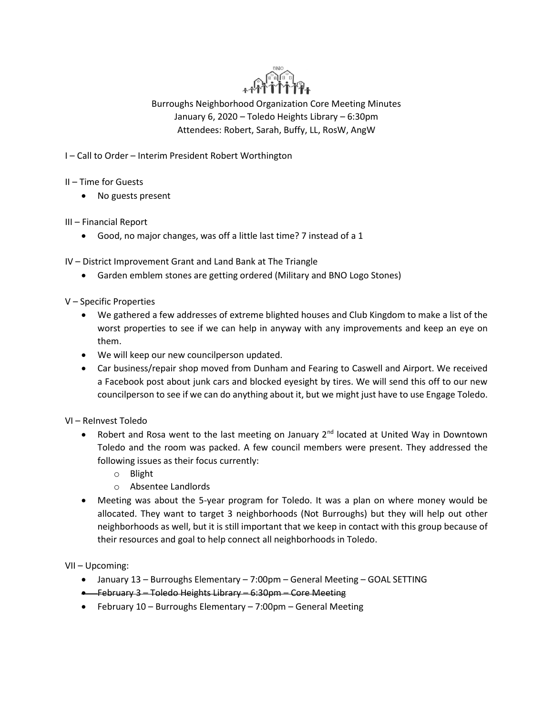

Burroughs Neighborhood Organization Core Meeting Minutes January 6, 2020 – Toledo Heights Library – 6:30pm Attendees: Robert, Sarah, Buffy, LL, RosW, AngW

I – Call to Order – Interim President Robert Worthington

- II Time for Guests
	- No guests present
- III Financial Report
	- Good, no major changes, was off a little last time? 7 instead of a 1

IV – District Improvement Grant and Land Bank at The Triangle

- Garden emblem stones are getting ordered (Military and BNO Logo Stones)
- V Specific Properties
	- We gathered a few addresses of extreme blighted houses and Club Kingdom to make a list of the worst properties to see if we can help in anyway with any improvements and keep an eye on them.
	- We will keep our new councilperson updated.
	- Car business/repair shop moved from Dunham and Fearing to Caswell and Airport. We received a Facebook post about junk cars and blocked eyesight by tires. We will send this off to our new councilperson to see if we can do anything about it, but we might just have to use Engage Toledo.

VI – ReInvest Toledo

- Robert and Rosa went to the last meeting on January  $2^{nd}$  located at United Way in Downtown Toledo and the room was packed. A few council members were present. They addressed the following issues as their focus currently:
	- o Blight
	- o Absentee Landlords
- Meeting was about the 5-year program for Toledo. It was a plan on where money would be allocated. They want to target 3 neighborhoods (Not Burroughs) but they will help out other neighborhoods as well, but it is still important that we keep in contact with this group because of their resources and goal to help connect all neighborhoods in Toledo.

VII – Upcoming:

- January 13 Burroughs Elementary 7:00pm General Meeting GOAL SETTING
- February 3 Toledo Heights Library 6:30pm Core Meeting
- February 10 Burroughs Elementary 7:00pm General Meeting